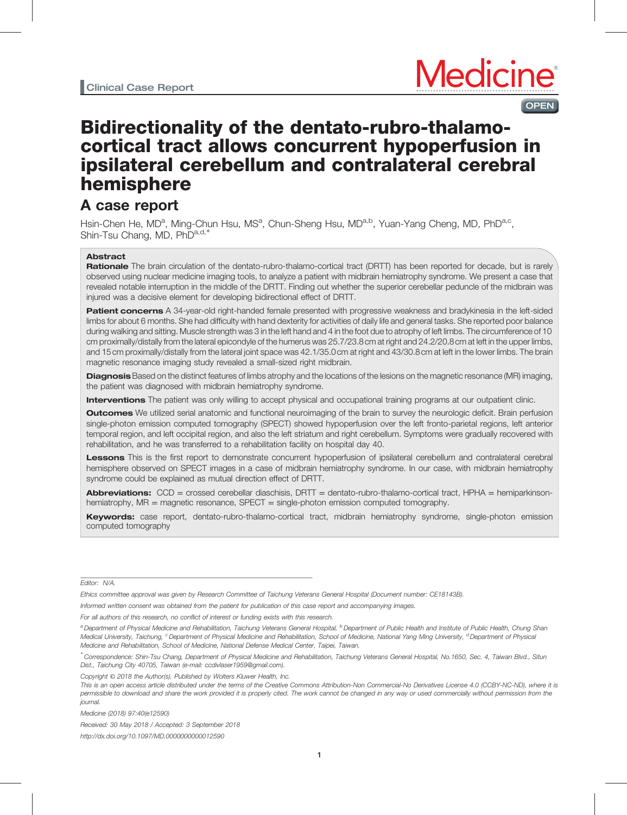### **OPEN**

# Bidirectionality of the dentato-rubro-thalamocortical tract allows concurrent hypoperfusion in ipsilateral cerebellum and contralateral cerebral hemisphere

## A case report

Hsin-Chen He, MD<sup>a</sup>, Ming-Chun Hsu, MS<sup>a</sup>, Chun-Sheng Hsu, MD<sup>a,b</sup>, Yuan-Yang Cheng, MD, PhD<sup>a,c</sup>, Shin-Tsu Chang, MD, PhDa,d,\*

#### **Abstract**

Rationale The brain circulation of the dentato-rubro-thalamo-cortical tract (DRTT) has been reported for decade, but is rarely observed using nuclear medicine imaging tools, to analyze a patient with midbrain hemiatrophy syndrome. We present a case that revealed notable interruption in the middle of the DRTT. Finding out whether the superior cerebellar peduncle of the midbrain was injured was a decisive element for developing bidirectional effect of DRTT.

Patient concerns A 34-year-old right-handed female presented with progressive weakness and bradykinesia in the left-sided limbs for about 6 months. She had difficulty with hand dexterity for activities of daily life and general tasks. She reported poor balance during walking and sitting. Muscle strength was 3 in the left hand and 4 in the foot due to atrophy of left limbs. The circumference of 10 cm proximally/distally from the lateral epicondyle of the humerus was 25.7/23.8 cm at right and 24.2/20.8 cm at left in the upper limbs, and 15 cm proximally/distally from the lateral joint space was 42.1/35.0 cm at right and 43/30.8 cm at left in the lower limbs. The brain magnetic resonance imaging study revealed a small-sized right midbrain.

Diagnosis Based on the distinct features of limbs atrophy and the locations of the lesions on the magnetic resonance (MR) imaging, the patient was diagnosed with midbrain hemiatrophy syndrome.

Interventions The patient was only willing to accept physical and occupational training programs at our outpatient clinic.

**Outcomes** We utilized serial anatomic and functional neuroimaging of the brain to survey the neurologic deficit. Brain perfusion single-photon emission computed tomography (SPECT) showed hypoperfusion over the left fronto-parietal regions, left anterior temporal region, and left occipital region, and also the left striatum and right cerebellum. Symptoms were gradually recovered with rehabilitation, and he was transferred to a rehabilitation facility on hospital day 40.

Lessons This is the first report to demonstrate concurrent hypoperfusion of ipsilateral cerebellum and contralateral cerebral hemisphere observed on SPECT images in a case of midbrain hemiatrophy syndrome. In our case, with midbrain hemiatrophy syndrome could be explained as mutual direction effect of DRTT.

**Abbreviations:**  $CCD =$  crossed cerebellar diaschisis,  $DRTT =$  dentato-rubro-thalamo-cortical tract,  $HPHA =$  hemiparkinsonhemiatrophy, MR = magnetic resonance, SPECT = single-photon emission computed tomography.

Keywords: case report, dentato-rubro-thalamo-cortical tract, midbrain hemiatrophy syndrome, single-photon emission computed tomography

Editor: N/A.

For all authors of this research, no conflict of interest or funding exists with this research.

Copyright © 2018 the Author(s). Published by Wolters Kluwer Health, Inc.

Medicine (2018) 97:40(e12590)

Received: 30 May 2018 / Accepted: 3 September 2018

<http://dx.doi.org/10.1097/MD.0000000000012590>

Ethics committee approval was given by Research Committee of Taichung Veterans General Hospital (Document number: CE18143B).

Informed written consent was obtained from the patient for publication of this case report and accompanying images.

a Department of Physical Medicine and Rehabilitation, Taichung Veterans General Hospital, <sup>b</sup> Department of Public Health and Institute of Public Health, Chung Shan Medical University, Taichung, <sup>c</sup> Department of Physical Medicine and Rehabilitation, School of Medicine, National Yang Ming University, <sup>d</sup> Department of Physical Medicine and Rehabilitation, School of Medicine, National Defense Medical Center, Taipei, Taiwan.

<sup>∗</sup> Correspondence: Shin-Tsu Chang, Department of Physical Medicine and Rehabilitation, Taichung Veterans General Hospital, No.1650, Sec. 4, Taiwan Blvd., Situn Dist., Taichung City 40705, Taiwan (e-mail: [ccdivlaser1959@gmail.com\)](mailto:ccdivlaser1959@gmail.com).

This is an open access article distributed under the terms of the [Creative Commons Attribution-Non Commercial-No Derivatives License 4.0](http://creativecommons.org/licenses/by-nc-nd/4.0) (CCBY-NC-ND), where it is permissible to download and share the work provided it is properly cited. The work cannot be changed in any way or used commercially without permission from the journal.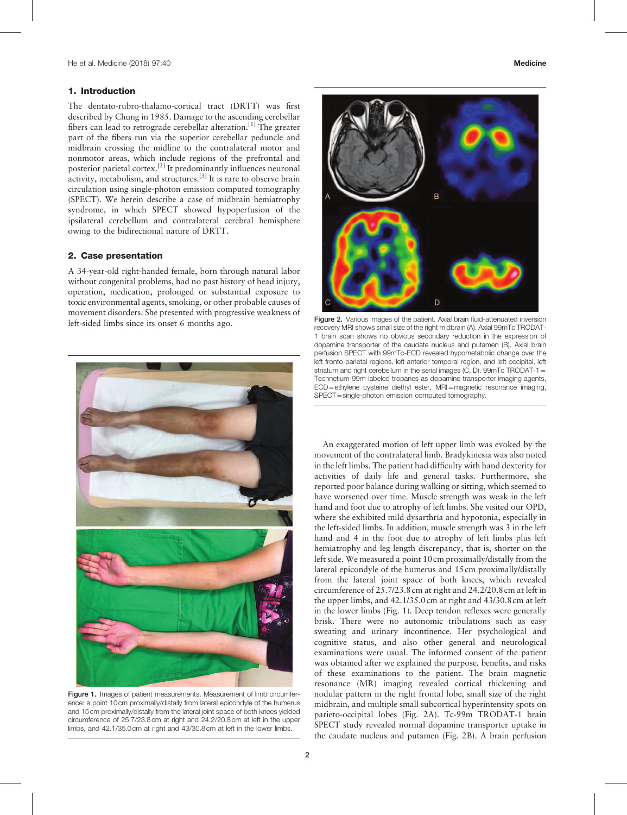#### <span id="page-1-0"></span>1. Introduction

The dentato-rubro-thalamo-cortical tract (DRTT) was first described by Chung in 1985. Damage to the ascending cerebellar fibers can lead to retrograde cerebellar alteration.<sup>[\[1\]](#page-3-0)</sup> The greater part of the fibers run via the superior cerebellar peduncle and midbrain crossing the midline to the contralateral motor and nonmotor areas, which include regions of the prefrontal and posterior parietal cortex.[\[2\]](#page-3-0) It predominantly influences neuronal activity, metabolism, and structures.[\[3\]](#page-3-0) It is rare to observe brain circulation using single-photon emission computed tomography (SPECT). We herein describe a case of midbrain hemiatrophy syndrome, in which SPECT showed hypoperfusion of the ipsilateral cerebellum and contralateral cerebral hemisphere owing to the bidirectional nature of DRTT.

#### 2. Case presentation

A 34-year-old right-handed female, born through natural labor without congenital problems, had no past history of head injury, operation, medication, prolonged or substantial exposure to toxic environmental agents, smoking, or other probable causes of movement disorders. She presented with progressive weakness of left-sided limbs since its onset 6 months ago.



Figure 1. Images of patient measurements. Measurement of limb circumference: a point 10 cm proximally/distally from lateral epicondyle of the humerus and 15 cm proximally/distally from the lateral joint space of both knees yielded circumference of 25.7/23.8 cm at right and 24.2/20.8 cm at left in the upper limbs, and 42.1/35.0 cm at right and 43/30.8 cm at left in the lower limbs.



Figure 2. Various images of the patient. Axial brain fluid-attenuated inversion recovery MRI shows small size of the right midbrain (A). Axial 99mTc TRODAT-1 brain scan shows no obvious secondary reduction in the expression of dopamine transporter of the caudate nucleus and putamen (B). Axial brain perfusion SPECT with 99mTc-ECD revealed hypometabolic change over the left fronto-parietal regions, left anterior temporal region, and left occipital, left striatum and right cerebellum in the serial images (C, D).  $99mTc$  TRODAT-1 = Technetium-99m-labeled tropanes as dopamine transporter imaging agents, ECD=ethylene cysteine diethyl ester, MRI=magnetic resonance imaging, SPECT=single-photon emission computed tomography.

An exaggerated motion of left upper limb was evoked by the movement of the contralateral limb. Bradykinesia was also noted in the left limbs. The patient had difficulty with hand dexterity for activities of daily life and general tasks. Furthermore, she reported poor balance during walking or sitting, which seemed to have worsened over time. Muscle strength was weak in the left hand and foot due to atrophy of left limbs. She visited our OPD, where she exhibited mild dysarthria and hypotonia, especially in the left-sided limbs. In addition, muscle strength was 3 in the left hand and 4 in the foot due to atrophy of left limbs plus left hemiatrophy and leg length discrepancy, that is, shorter on the left side. We measured a point 10 cm proximally/distally from the lateral epicondyle of the humerus and 15 cm proximally/distally from the lateral joint space of both knees, which revealed circumference of 25.7/23.8 cm at right and 24.2/20.8 cm at left in the upper limbs, and 42.1/35.0 cm at right and 43/30.8 cm at left in the lower limbs (Fig. 1). Deep tendon reflexes were generally brisk. There were no autonomic tribulations such as easy sweating and urinary incontinence. Her psychological and cognitive status, and also other general and neurological examinations were usual. The informed consent of the patient was obtained after we explained the purpose, benefits, and risks of these examinations to the patient. The brain magnetic resonance (MR) imaging revealed cortical thickening and nodular pattern in the right frontal lobe, small size of the right midbrain, and multiple small subcortical hyperintensity spots on parieto-occipital lobes (Fig. 2A). Tc-99m TRODAT-1 brain SPECT study revealed normal dopamine transporter uptake in the caudate nucleus and putamen (Fig. 2B). A brain perfusion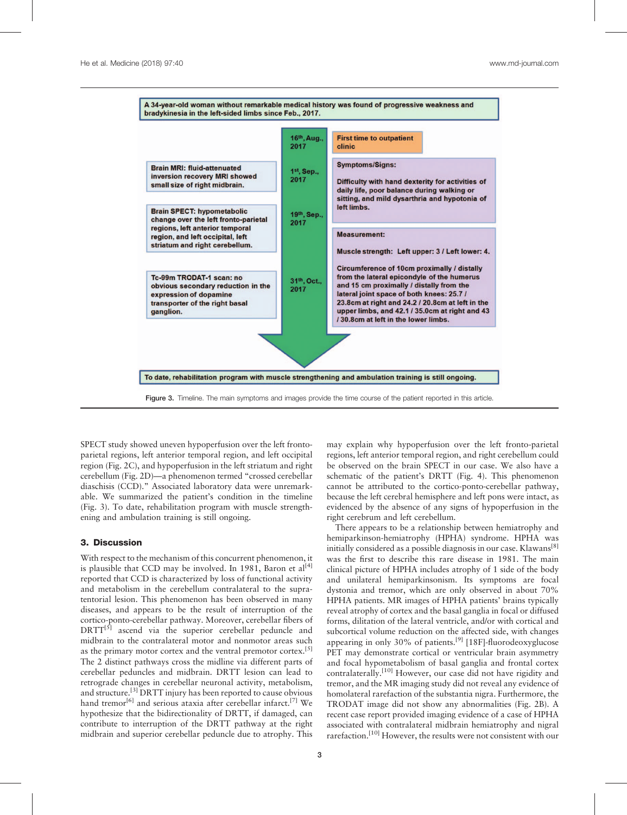

Figure 3. Timeline. The main symptoms and images provide the time course of the patient reported in this article.

SPECT study showed uneven hypoperfusion over the left frontoparietal regions, left anterior temporal region, and left occipital region [\(Fig. 2C](#page-1-0)), and hypoperfusion in the left striatum and right cerebellum [\(Fig. 2](#page-1-0)D)—a phenomenon termed "crossed cerebellar diaschisis (CCD)." Associated laboratory data were unremarkable. We summarized the patient's condition in the timeline (Fig. 3). To date, rehabilitation program with muscle strengthening and ambulation training is still ongoing.

#### 3. Discussion

With respect to the mechanism of this concurrent phenomenon, it is plausible that CCD may be involved. In 1981, Baron et  $al^{[4]}$  $al^{[4]}$  $al^{[4]}$ reported that CCD is characterized by loss of functional activity and metabolism in the cerebellum contralateral to the supratentorial lesion. This phenomenon has been observed in many diseases, and appears to be the result of interruption of the cortico-ponto-cerebellar pathway. Moreover, cerebellar fibers of DRTT<sup>[\[5\]](#page-3-0)</sup> ascend via the superior cerebellar peduncle and midbrain to the contralateral motor and nonmotor areas such as the primary motor cortex and the ventral premotor cortex.<sup>[\[5\]](#page-3-0)</sup> The 2 distinct pathways cross the midline via different parts of cerebellar peduncles and midbrain. DRTT lesion can lead to retrograde changes in cerebellar neuronal activity, metabolism, and structure.[\[3\]](#page-3-0) DRTT injury has been reported to cause obvious hand tremor<sup>[6]</sup> and serious ataxia after cerebellar infarct.<sup>[\[7\]](#page-3-0)</sup> We hypothesize that the bidirectionality of DRTT, if damaged, can contribute to interruption of the DRTT pathway at the right midbrain and superior cerebellar peduncle due to atrophy. This

may explain why hypoperfusion over the left fronto-parietal regions, left anterior temporal region, and right cerebellum could be observed on the brain SPECT in our case. We also have a schematic of the patient's DRTT [\(Fig. 4](#page-3-0)). This phenomenon cannot be attributed to the cortico-ponto-cerebellar pathway, because the left cerebral hemisphere and left pons were intact, as evidenced by the absence of any signs of hypoperfusion in the right cerebrum and left cerebellum.

There appears to be a relationship between hemiatrophy and hemiparkinson-hemiatrophy (HPHA) syndrome. HPHA was initially considered as a possible diagnosis in our case. Klawans<sup>[\[8\]](#page-3-0)</sup> was the first to describe this rare disease in 1981. The main clinical picture of HPHA includes atrophy of 1 side of the body and unilateral hemiparkinsonism. Its symptoms are focal dystonia and tremor, which are only observed in about 70% HPHA patients. MR images of HPHA patients' brains typically reveal atrophy of cortex and the basal ganglia in focal or diffused forms, dilitation of the lateral ventricle, and/or with cortical and subcortical volume reduction on the affected side, with changes appearing in only 30% of patients.<sup>[\[9\]](#page-3-0)</sup> [18F]-fluorodeoxyglucose PET may demonstrate cortical or ventricular brain asymmetry and focal hypometabolism of basal ganglia and frontal cortex contralaterally.<sup>[\[10\]](#page-3-0)</sup> However, our case did not have rigidity and tremor, and the MR imaging study did not reveal any evidence of homolateral rarefaction of the substantia nigra. Furthermore, the TRODAT image did not show any abnormalities [\(Fig. 2](#page-1-0)B). A recent case report provided imaging evidence of a case of HPHA associated with contralateral midbrain hemiatrophy and nigral rarefaction.<sup>[10]</sup> However, the results were not consistent with our